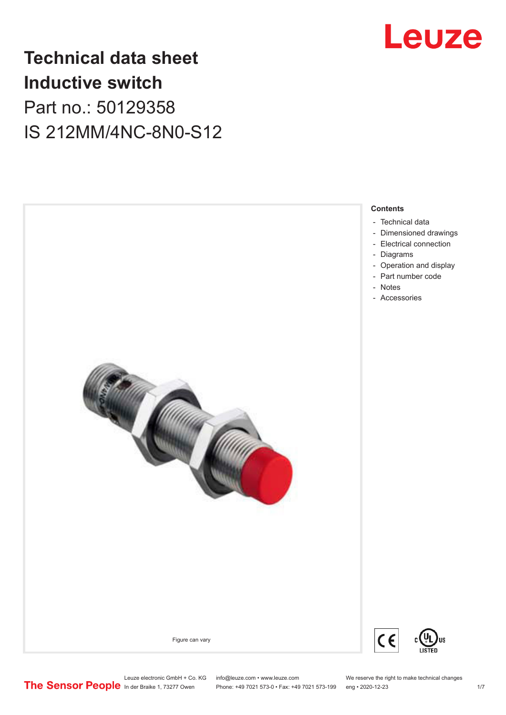

# **Technical data sheet Inductive switch** Part no.: 50129358 IS 212MM/4NC-8N0-S12

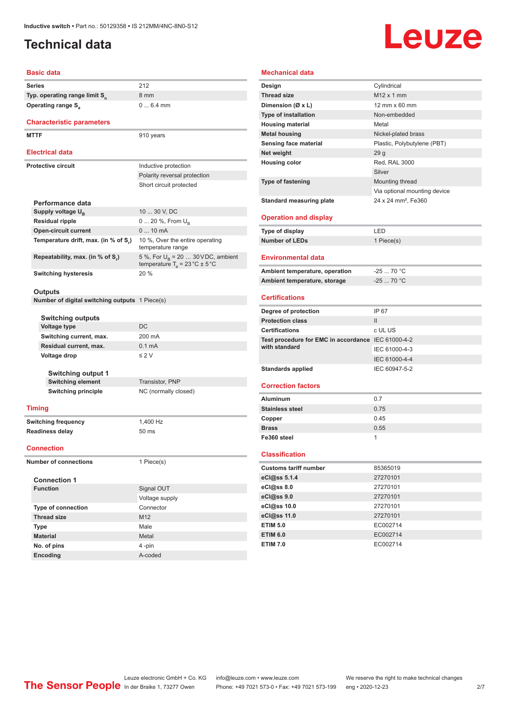# <span id="page-1-0"></span>**Technical data**

# Leuze

### **Basic data**

| 212<br>Series<br>Typ. operating range limit S <sub>n</sub><br>8 mm<br>$06.4$ mm<br><b>Operating range S</b> <sub>a</sub><br><b>Characteristic parameters</b><br><b>MTTF</b><br>910 years<br><b>Electrical data</b> |  |
|--------------------------------------------------------------------------------------------------------------------------------------------------------------------------------------------------------------------|--|
|                                                                                                                                                                                                                    |  |
|                                                                                                                                                                                                                    |  |
|                                                                                                                                                                                                                    |  |
|                                                                                                                                                                                                                    |  |
|                                                                                                                                                                                                                    |  |
|                                                                                                                                                                                                                    |  |
|                                                                                                                                                                                                                    |  |
|                                                                                                                                                                                                                    |  |
| <b>Protective circuit</b><br>Inductive protection                                                                                                                                                                  |  |
| Polarity reversal protection                                                                                                                                                                                       |  |
| Short circuit protected                                                                                                                                                                                            |  |
|                                                                                                                                                                                                                    |  |
| Performance data<br>10  30 V, DC<br>Supply voltage U <sub>B</sub>                                                                                                                                                  |  |
| <b>Residual ripple</b><br>0  20 %, From U <sub>B</sub>                                                                                                                                                             |  |
| <b>Open-circuit current</b><br>$010$ mA                                                                                                                                                                            |  |
| 10 %, Over the entire operating<br>Temperature drift, max. (in % of S,)                                                                                                                                            |  |
| temperature range                                                                                                                                                                                                  |  |
| Repeatability, max. (in % of S <sub>r</sub> )<br>5 %, For $U_B$ = 20  30 VDC, ambient<br>temperature $T_a = 23 \degree C \pm 5 \degree C$                                                                          |  |
| 20%<br><b>Switching hysteresis</b>                                                                                                                                                                                 |  |
|                                                                                                                                                                                                                    |  |
| Outputs                                                                                                                                                                                                            |  |
| <b>Number of digital switching outputs</b> 1 Piece(s)                                                                                                                                                              |  |
| <b>Switching outputs</b>                                                                                                                                                                                           |  |
| DC<br><b>Voltage type</b>                                                                                                                                                                                          |  |
| Switching current, max.<br>200 mA                                                                                                                                                                                  |  |
|                                                                                                                                                                                                                    |  |
| Residual current, max.<br>$0.1 \text{ mA}$                                                                                                                                                                         |  |
| $\leq$ 2 V<br>Voltage drop                                                                                                                                                                                         |  |
|                                                                                                                                                                                                                    |  |
| <b>Switching output 1</b>                                                                                                                                                                                          |  |
| <b>Switching element</b><br>Transistor, PNP                                                                                                                                                                        |  |
| <b>Switching principle</b><br>NC (normally closed)                                                                                                                                                                 |  |
| <b>Timing</b>                                                                                                                                                                                                      |  |
|                                                                                                                                                                                                                    |  |
| 1,400 Hz<br>Switching frequency                                                                                                                                                                                    |  |
| <b>Readiness delay</b><br>50 ms                                                                                                                                                                                    |  |
| <b>Connection</b>                                                                                                                                                                                                  |  |
| <b>Number of connections</b><br>1 Piece(s)                                                                                                                                                                         |  |
|                                                                                                                                                                                                                    |  |
| <b>Connection 1</b><br><b>Function</b>                                                                                                                                                                             |  |
| Signal OUT                                                                                                                                                                                                         |  |
| Voltage supply<br>Connector                                                                                                                                                                                        |  |
| Type of connection<br><b>Thread size</b><br>M12                                                                                                                                                                    |  |
| Type<br>Male                                                                                                                                                                                                       |  |

| <b>Mechanical data</b>                             |                                 |  |  |
|----------------------------------------------------|---------------------------------|--|--|
| Design                                             | Cylindrical                     |  |  |
| <b>Thread size</b>                                 | $M12 \times 1$ mm               |  |  |
| Dimension (Ø x L)                                  | 12 mm x 60 mm                   |  |  |
| <b>Type of installation</b>                        | Non-embedded                    |  |  |
| <b>Housing material</b>                            | Metal                           |  |  |
| <b>Metal housing</b>                               | Nickel-plated brass             |  |  |
| Sensing face material                              | Plastic, Polybutylene (PBT)     |  |  |
| Net weight                                         | 29 <sub>g</sub>                 |  |  |
| <b>Housing color</b>                               | Red, RAL 3000                   |  |  |
|                                                    | Silver                          |  |  |
| <b>Type of fastening</b>                           | Mounting thread                 |  |  |
|                                                    | Via optional mounting device    |  |  |
| <b>Standard measuring plate</b>                    | 24 x 24 mm <sup>2</sup> , Fe360 |  |  |
|                                                    |                                 |  |  |
| <b>Operation and display</b>                       |                                 |  |  |
| Type of display                                    | LED                             |  |  |
| Number of LEDs                                     | 1 Piece(s)                      |  |  |
|                                                    |                                 |  |  |
| Environmental data                                 |                                 |  |  |
| Ambient temperature, operation                     | $-2570 °C$                      |  |  |
| Ambient temperature, storage                       | $-25$ 70 °C                     |  |  |
| <b>Certifications</b>                              |                                 |  |  |
|                                                    |                                 |  |  |
| Degree of protection                               | IP 67                           |  |  |
| <b>Protection class</b>                            | Ш                               |  |  |
| <b>Certifications</b>                              | c UL US                         |  |  |
| Test procedure for EMC in accordance IEC 61000-4-2 |                                 |  |  |
| with standard                                      | IEC 61000-4-3                   |  |  |
|                                                    | IEC 61000-4-4                   |  |  |
| <b>Standards applied</b>                           | IEC 60947-5-2                   |  |  |
|                                                    |                                 |  |  |
| <b>Correction factors</b>                          |                                 |  |  |
| <b>Aluminum</b>                                    | 0.7                             |  |  |
| <b>Stainless steel</b>                             | 0.75                            |  |  |
| Copper                                             | 0.45                            |  |  |
| <b>Brass</b>                                       | 0.55                            |  |  |
| Fe360 steel                                        | 1                               |  |  |
|                                                    |                                 |  |  |
| <b>Classification</b>                              |                                 |  |  |
| <b>Customs tariff number</b>                       | 85365019                        |  |  |
| eCl@ss 5.1.4                                       | 27270101                        |  |  |
| eCl@ss 8.0                                         | 27270101                        |  |  |
| eCl@ss 9.0                                         | 27270101                        |  |  |
| eCl@ss 10.0                                        | 27270101                        |  |  |
| eCl@ss 11.0                                        | 27270101                        |  |  |
| <b>ETIM 5.0</b><br><b>ETIM 6.0</b>                 | EC002714                        |  |  |

**No. of pins** 4 -pin **Encoding** A-coded **ETIM 7.0** EC002714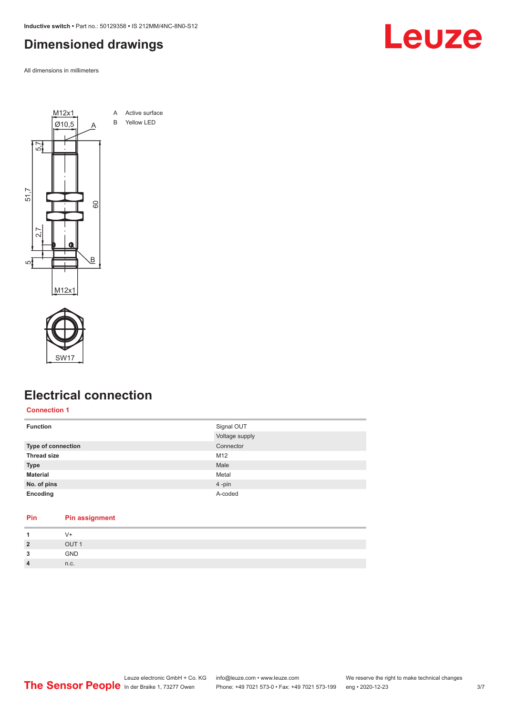<span id="page-2-0"></span>**Inductive switch •** Part no.: 50129358 **•** IS 212MM/4NC-8N0-S12

# **Dimensioned drawings**

All dimensions in millimeters





**Pin Pin assignment**

# **Electrical connection**

**Connection 1**

| <b>Function</b>           | Signal OUT     |
|---------------------------|----------------|
|                           | Voltage supply |
| <b>Type of connection</b> | Connector      |
| <b>Thread size</b>        | M12            |
| <b>Type</b>               | Male           |
| <b>Material</b>           | Metal          |
| No. of pins               | 4-pin          |
| Encoding                  | A-coded        |
|                           |                |

|                | V+               |
|----------------|------------------|
| $\overline{2}$ | OUT <sub>1</sub> |
| 3              | GND              |
| $\overline{4}$ | n.c.             |
|                |                  |

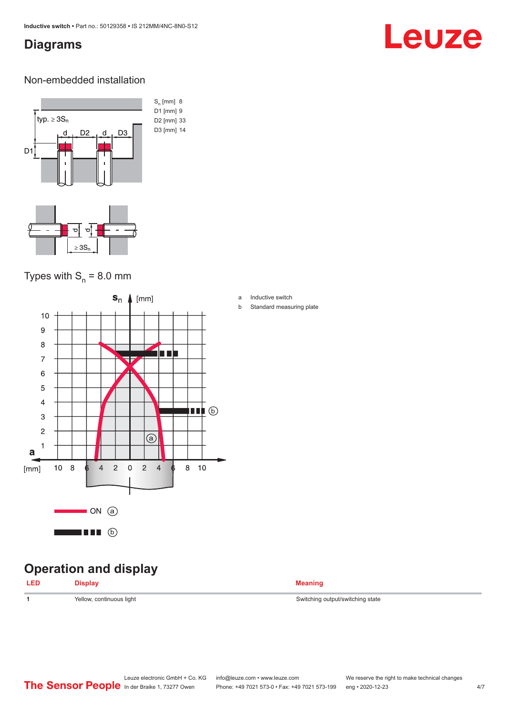# <span id="page-3-0"></span>**Diagrams**

# Leuze

### Non-embedded installation



# Types with  $S_n = 8.0$  mm



# **Operation and display**

| <b>Meaning</b> |
|----------------|
|                |

1 **1** Yellow, continuous light Switching output/switching state

### a Inductive switch

b Standard measuring plate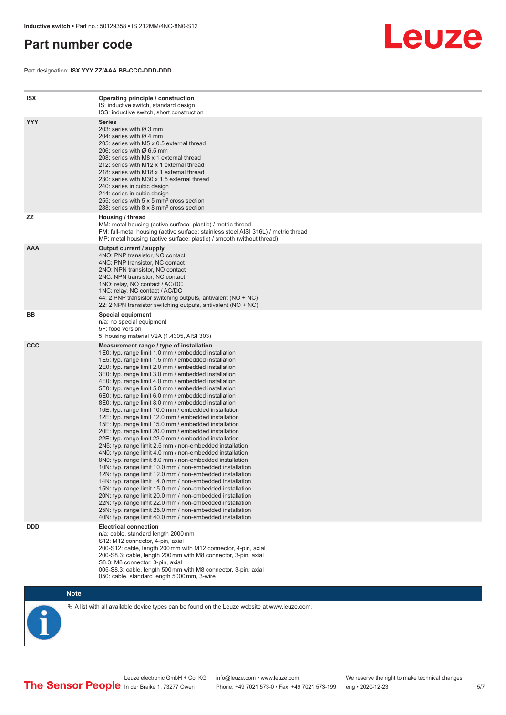# <span id="page-4-0"></span>**Part number code**

Part designation: **ISX YYY ZZ/AAA.BB-CCC-DDD-DDD**



| <b>ISX</b> | Operating principle / construction<br>IS: inductive switch, standard design<br>ISS: inductive switch, short construction                                                                                                                                                                                                                                                                                                                                                                                                                                                                                                                                                                                                                                                                                                                                                                                                                                                                                                                                                                                                                                                                                                                                                                                                                                                                                                                                                                          |
|------------|---------------------------------------------------------------------------------------------------------------------------------------------------------------------------------------------------------------------------------------------------------------------------------------------------------------------------------------------------------------------------------------------------------------------------------------------------------------------------------------------------------------------------------------------------------------------------------------------------------------------------------------------------------------------------------------------------------------------------------------------------------------------------------------------------------------------------------------------------------------------------------------------------------------------------------------------------------------------------------------------------------------------------------------------------------------------------------------------------------------------------------------------------------------------------------------------------------------------------------------------------------------------------------------------------------------------------------------------------------------------------------------------------------------------------------------------------------------------------------------------------|
| <b>YYY</b> | <b>Series</b><br>203: series with Ø 3 mm<br>204: series with $\varnothing$ 4 mm<br>205: series with M5 x 0.5 external thread<br>206: series with $\varnothing$ 6.5 mm<br>208: series with M8 x 1 external thread<br>212: series with M12 x 1 external thread<br>218: series with M18 x 1 external thread<br>230: series with M30 x 1.5 external thread<br>240: series in cubic design<br>244: series in cubic design<br>255: series with 5 x 5 mm <sup>2</sup> cross section<br>288: series with 8 x 8 mm <sup>2</sup> cross section                                                                                                                                                                                                                                                                                                                                                                                                                                                                                                                                                                                                                                                                                                                                                                                                                                                                                                                                                              |
| <b>ZZ</b>  | Housing / thread<br>MM: metal housing (active surface: plastic) / metric thread<br>FM: full-metal housing (active surface: stainless steel AISI 316L) / metric thread<br>MP: metal housing (active surface: plastic) / smooth (without thread)                                                                                                                                                                                                                                                                                                                                                                                                                                                                                                                                                                                                                                                                                                                                                                                                                                                                                                                                                                                                                                                                                                                                                                                                                                                    |
| <b>AAA</b> | Output current / supply<br>4NO: PNP transistor, NO contact<br>4NC: PNP transistor, NC contact<br>2NO: NPN transistor, NO contact<br>2NC: NPN transistor, NC contact<br>1NO: relay, NO contact / AC/DC<br>1NC: relay, NC contact / AC/DC<br>44: 2 PNP transistor switching outputs, antivalent (NO + NC)<br>22: 2 NPN transistor switching outputs, antivalent (NO + NC)                                                                                                                                                                                                                                                                                                                                                                                                                                                                                                                                                                                                                                                                                                                                                                                                                                                                                                                                                                                                                                                                                                                           |
| BB         | <b>Special equipment</b><br>n/a: no special equipment<br>5F: food version<br>5: housing material V2A (1.4305, AISI 303)                                                                                                                                                                                                                                                                                                                                                                                                                                                                                                                                                                                                                                                                                                                                                                                                                                                                                                                                                                                                                                                                                                                                                                                                                                                                                                                                                                           |
| <b>CCC</b> | Measurement range / type of installation<br>1E0: typ. range limit 1.0 mm / embedded installation<br>1E5: typ. range limit 1.5 mm / embedded installation<br>2E0: typ. range limit 2.0 mm / embedded installation<br>3E0: typ. range limit 3.0 mm / embedded installation<br>4E0: typ. range limit 4.0 mm / embedded installation<br>5E0: typ. range limit 5.0 mm / embedded installation<br>6E0: typ. range limit 6.0 mm / embedded installation<br>8E0: typ. range limit 8.0 mm / embedded installation<br>10E: typ. range limit 10.0 mm / embedded installation<br>12E: typ. range limit 12.0 mm / embedded installation<br>15E: typ. range limit 15.0 mm / embedded installation<br>20E: typ. range limit 20.0 mm / embedded installation<br>22E: typ. range limit 22.0 mm / embedded installation<br>2N5: typ. range limit 2.5 mm / non-embedded installation<br>4N0: typ. range limit 4.0 mm / non-embedded installation<br>8NO: typ. range limit 8.0 mm / non-embedded installation<br>10N: typ. range limit 10.0 mm / non-embedded installation<br>12N: typ. range limit 12.0 mm / non-embedded installation<br>14N: typ. range limit 14.0 mm / non-embedded installation<br>15N: typ. range limit 15.0 mm / non-embedded installation<br>20N: typ. range limit 20.0 mm / non-embedded installation<br>22N: typ. range limit 22.0 mm / non-embedded installation<br>25N: typ. range limit 25.0 mm / non-embedded installation<br>40N: typ. range limit 40.0 mm / non-embedded installation |
| <b>DDD</b> | <b>Electrical connection</b><br>n/a: cable, standard length 2000 mm<br>S12: M12 connector, 4-pin, axial<br>200-S12: cable, length 200 mm with M12 connector, 4-pin, axial<br>200-S8.3: cable, length 200 mm with M8 connector, 3-pin, axial<br>S8.3: M8 connector, 3-pin, axial<br>005-S8.3: cable, length 500 mm with M8 connector, 3-pin, axial<br>050: cable, standard length 5000 mm, 3-wire                                                                                                                                                                                                                                                                                                                                                                                                                                                                                                                                                                                                                                                                                                                                                                                                                                                                                                                                                                                                                                                                                                  |

**Note**

 $\%$  A list with all available device types can be found on the Leuze website at www.leuze.com.

Leuze electronic GmbH + Co. KG info@leuze.com • www.leuze.com We reserve the right to make technical changes In der Braike 1, 73277 Owen Phone: +49 7021 573-0 • Fax: +49 7021 573-199 eng • 2020-12-23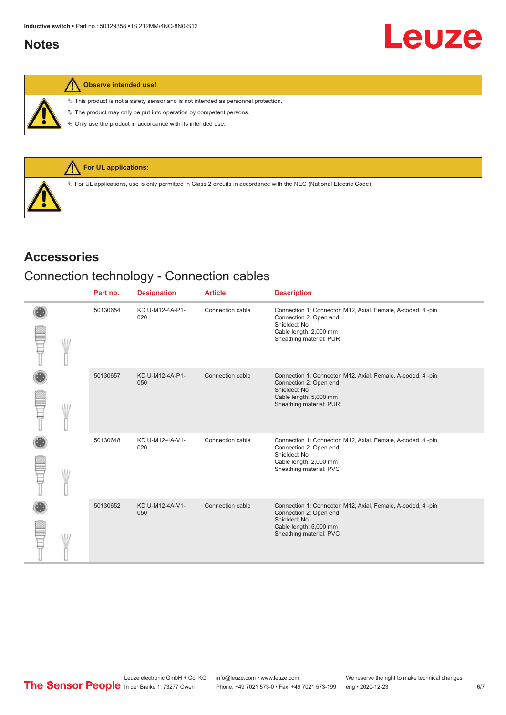# <span id="page-5-0"></span>**Notes**

 $\%$  This product is not a safety sensor and is not intended as personnel protection.

 $\&$  The product may only be put into operation by competent persons.

 $\%$  Only use the product in accordance with its intended use.



## **Accessories**

# Connection technology - Connection cables

|  | Part no. | <b>Designation</b>     | <b>Article</b>   | <b>Description</b>                                                                                                                                         |
|--|----------|------------------------|------------------|------------------------------------------------------------------------------------------------------------------------------------------------------------|
|  | 50130654 | KD U-M12-4A-P1-<br>020 | Connection cable | Connection 1: Connector, M12, Axial, Female, A-coded, 4-pin<br>Connection 2: Open end<br>Shielded: No<br>Cable length: 2,000 mm<br>Sheathing material: PUR |
|  | 50130657 | KD U-M12-4A-P1-<br>050 | Connection cable | Connection 1: Connector, M12, Axial, Female, A-coded, 4-pin<br>Connection 2: Open end<br>Shielded: No<br>Cable length: 5,000 mm<br>Sheathing material: PUR |
|  | 50130648 | KD U-M12-4A-V1-<br>020 | Connection cable | Connection 1: Connector, M12, Axial, Female, A-coded, 4-pin<br>Connection 2: Open end<br>Shielded: No<br>Cable length: 2,000 mm<br>Sheathing material: PVC |
|  | 50130652 | KD U-M12-4A-V1-<br>050 | Connection cable | Connection 1: Connector, M12, Axial, Female, A-coded, 4-pin<br>Connection 2: Open end<br>Shielded: No<br>Cable length: 5,000 mm<br>Sheathing material: PVC |

Leuze